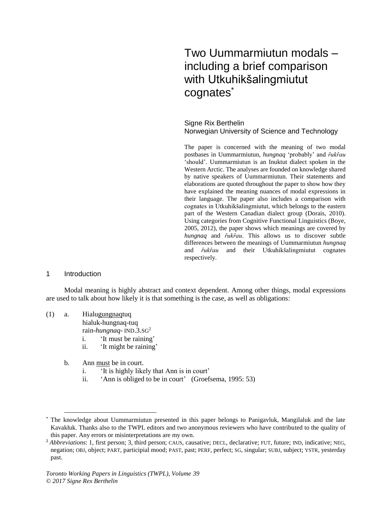# Two Uummarmiutun modals – including a brief comparison with Utkuhikšalingmiutut cognates\*

Signe Rix Berthelin Norwegian University of Science and Technology

The paper is concerned with the meaning of two modal postbases in Uummarmiutun, *hungnaq* 'probably' and *ȓukȓau*  'should'. Uummarmiutun is an Inuktut dialect spoken in the Western Arctic. The analyses are founded on knowledge shared by native speakers of Uummarmiutun. Their statements and elaborations are quoted throughout the paper to show how they have explained the meaning nuances of modal expressions in their language. The paper also includes a comparison with cognates in Utkuhikšalingmiutut, which belongs to the eastern part of the Western Canadian dialect group (Dorais, 2010). Using categories from Cognitive Functional Linguistics (Boye, 2005, 2012), the paper shows which meanings are covered by *hungnaq* and *ȓukȓau*. This allows us to discover subtle differences between the meanings of Uummarmiutun *hungnaq* and *ȓukȓau* and their Utkuhikšalingmiutut cognates respectively.

## 1 Introduction

 $\overline{a}$ 

Modal meaning is highly abstract and context dependent. Among other things, modal expressions are used to talk about how likely it is that something is the case, as well as obligations:

## (1) a. Hialugungnaqtuq

hialuk-hungnaq-tuq

rain-*hungnaq*- IND.3.SG<sup>2</sup>

- i. 'It must be raining'
- ii. 'It might be raining'
- b. Ann must be in court.
	- i. 'It is highly likely that Ann is in court'
	- ii. 'Ann is obliged to be in court' (Groefsema, 1995: 53)

The knowledge about Uummarmiutun presented in this paper belongs to Panigavluk, Mangilaluk and the late Kavakłuk. Thanks also to the TWPL editors and two anonymous reviewers who have contributed to the quality of this paper. Any errors or misinterpretations are my own.

<sup>&</sup>lt;sup>2</sup> *Abbreviations*: 1, first person; 3, third person; CAUS, causative; DECL, declarative; FUT, future; IND, indicative; NEG, negation; OBJ, object; PART, participial mood; PAST, past; PERF, perfect; SG, singular; SUBJ, subject; YSTR, yesterday past.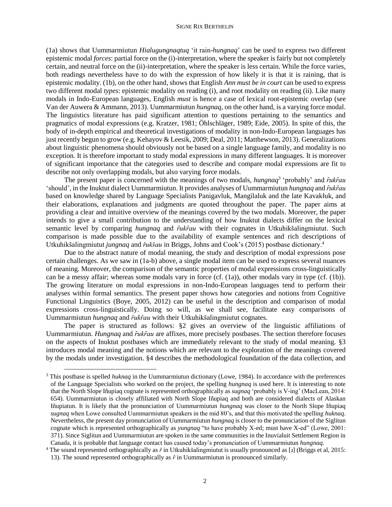(1a) shows that Uummarmiutun *Hialugungnaqtuq* 'it rain-*hungnaq*' can be used to express two different epistemic modal *forces*: partial force on the (i)-interpretation, where the speaker is fairly but not completely certain, and neutral force on the (ii)-interpretation, where the speaker is less certain. While the force varies, both readings nevertheless have to do with the expression of how likely it is that it is raining, that is epistemic modality. (1b), on the other hand, shows that English *Ann must be in court* can be used to express two different modal *types*: epistemic modality on reading (i), and root modality on reading (ii). Like many modals in Indo-European languages, English *must* is hence a case of lexical root-epistemic overlap (see Van der Auwera & Ammann, 2013). Uummarmiutun *hungnaq*, on the other hand, is a varying force modal. The linguistics literature has paid significant attention to questions pertaining to the semantics and pragmatics of modal expressions (e.g. Kratzer, 1981; Öhlschläger, 1989; Eide, 2005). In spite of this, the body of in-depth empirical and theoretical investigations of modality in non-Indo-European languages has just recently begun to grow (e.g. Kehayov & Leesik, 2009; Deal, 2011; Matthewson, 2013). Generalizations about linguistic phenomena should obviously not be based on a single language family, and modality is no exception. It is therefore important to study modal expressions in many different languages. It is moreover of significant importance that the categories used to describe and compare modal expressions are fit to describe not only overlapping modals, but also varying force modals.

The present paper is concerned with the meanings of two modals, *hungnaq*<sup>3</sup> 'probably' and *fukfau* 'should', in the Inuktut dialect Uummarmiutun. It provides analyses of Uummarmiutun *hungnaq* and *ȓukȓau*  based on knowledge shared by Language Specialists Panigavluk, Mangilaluk and the late Kavakłuk, and their elaborations, explanations and judgments are quoted throughout the paper. The paper aims at providing a clear and intuitive overview of the meanings covered by the two modals. Moreover, the paper intends to give a small contribution to the understanding of how Inuktut dialects differ on the lexical semantic level by comparing *hungnaq* and *fukfau* with their cognates in Utkuhikšalingmiutut. Such comparison is made possible due to the availability of example sentences and rich descriptions of Utkuhikšalingmiutut *jungnaq* and *řukšau* in Briggs, Johns and Cook's (2015) postbase dictionary.<sup>4</sup>

Due to the abstract nature of modal meaning, the study and description of modal expressions pose certain challenges. As we saw in (1a-b) above, a single modal item can be used to express several nuances of meaning. Moreover, the comparison of the semantic properties of modal expressions cross-linguistically can be a messy affair; whereas some modals vary in force (cf. (1a)), other modals vary in type (cf. (1b)). The growing literature on modal expressions in non-Indo-European languages tend to perform their analyses within formal semantics. The present paper shows how categories and notions from Cognitive Functional Linguistics (Boye, 2005, 2012) can be useful in the description and comparison of modal expressions cross-linguistically. Doing so will, as we shall see, facilitate easy comparisons of Uummarmiutun *hungnaq* and *fukfau* with their Utkuhikšalingmiutut cognates.

The paper is structured as follows: §2 gives an overview of the linguistic affiliations of Uummarmiutun. *Hungnaq* and *fukfau* are affixes, more precisely postbases. The section therefore focuses on the aspects of Inuktut postbases which are immediately relevant to the study of modal meaning*.* §3 introduces modal meaning and the notions which are relevant to the exploration of the meanings covered by the modals under investigation. §4 describes the methodological foundation of the data collection, and

 $\overline{a}$ 

<sup>3</sup> This postbase is spelled *huknaq* in the Uummarmiutun dictionary (Lowe, 1984). In accordance with the preferences of the Language Specialists who worked on the project, the spelling *hungnaq* is used here. It is interesting to note that the North Slope Iñupiaq cognate is represented orthographically as *sugnaq* 'probably is V-ing' (MacLean, 2014: 654). Uummarmiutun is closely affiliated with North Slope Iñupiaq and both are considered dialects of Alaskan Iñupiatun. It is likely that the pronunciation of Uummarmiutun *hungnaq* was closer to the North Slope Iñupiaq *sugnaq* when Lowe consulted Uummarmiutun speakers in the mid 80's, and that this motivated the spelling *huknaq*. Nevertheless, the present day pronunciation of Uummarmiutun *hungnaq* is closer to the pronunciation of the Siglitun cognate which is represented orthographically as *yungnaq* "to have probably X-ed; must have X-ed" (Lowe, 2001: 371). Since Siglitun and Uummarmiutun are spoken in the same communities in the Inuvialuit Settlement Region in Canada, it is probable that language contact has caused today's pronunciation of Uummarmiutun *hungnaq*.

<sup>4</sup> The sound represented orthographically as *ř* in Utkuhikšalingmiutut is usually pronounced as [ɹ] (Briggs et al, 2015: 13). The sound represented orthographically as  $\hat{r}$  in Uummarmiutun is pronounced similarly.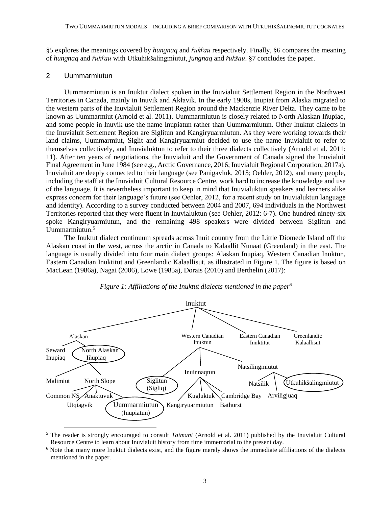§5 explores the meanings covered by *hungnaq* and *ȓukȓau* respectively. Finally, §6 compares the meaning of *hungnaq* and *ȓukȓau* with Utkuhikšalingmiutut, *jungnaq* and *řukšau*. §7 concludes the paper.

## 2 Uummarmiutun

Uummarmiutun is an Inuktut dialect spoken in the Inuvialuit Settlement Region in the Northwest Territories in Canada, mainly in Inuvik and Akłavik. In the early 1900s, Inupiat from Alaska migrated to the western parts of the Inuvialuit Settlement Region around the Mackenzie River Delta. They came to be known as Uummarmiut (Arnold et al. 2011). Uummarmiutun is closely related to North Alaskan Iñupiaq, and some people in Inuvik use the name Inupiatun rather than Uummarmiutun. Other Inuktut dialects in the Inuvialuit Settlement Region are Siglitun and Kangiryuarmiutun. As they were working towards their land claims, Uummarmiut, Siglit and Kangiryuarmiut decided to use the name Inuvialuit to refer to themselves collectively, and Inuvialuktun to refer to their three dialects collectively (Arnold et al. 2011: 11). After ten years of negotiations, the Inuvialuit and the Government of Canada signed the Inuvialuit Final Agreement in June 1984 (see e.g., Arctic Governance, 2016; Inuvialuit Regional Corporation, 2017a). Inuvialuit are deeply connected to their language (see Panigavluk, 2015; Oehler, 2012), and many people, including the staff at the Inuvialuit Cultural Resource Centre, work hard to increase the knowledge and use of the language. It is nevertheless important to keep in mind that Inuvialuktun speakers and learners alike express concern for their language's future (see Oehler, 2012, for a recent study on Inuvialuktun language and identity). According to a survey conducted between 2004 and 2007, 694 individuals in the Northwest Territories reported that they were fluent in Inuvialuktun (see Oehler, 2012: 6-7). One hundred ninety-six spoke Kangiryuarmiutun, and the remaining 498 speakers were divided between Siglitun and Uummarmiutun.<sup>5</sup>

The Inuktut dialect continuum spreads across Inuit country from the Little Diomede Island off the Alaskan coast in the west, across the arctic in Canada to Kalaallit Nunaat (Greenland) in the east. The language is usually divided into four main dialect groups: Alaskan Inupiaq, Western Canadian Inuktun, Eastern Canadian Inuktitut and Greenlandic Kalaallisut, as illustrated in Figure 1. The figure is based on MacLean (1986a), Nagai (2006), Lowe (1985a), Dorais (2010) and Berthelin (2017):



*Figure 1: Affiliations of the Inuktut dialects mentioned in the paper*<sup>6</sup>

<sup>5</sup> The reader is strongly encouraged to consult *Taimani* (Arnold et al. 2011) published by the Inuvialuit Cultural Resource Centre to learn about Inuvialuit history from time immemorial to the present day.

<sup>&</sup>lt;sup>6</sup> Note that many more Inuktut dialects exist, and the figure merely shows the immediate affiliations of the dialects mentioned in the paper.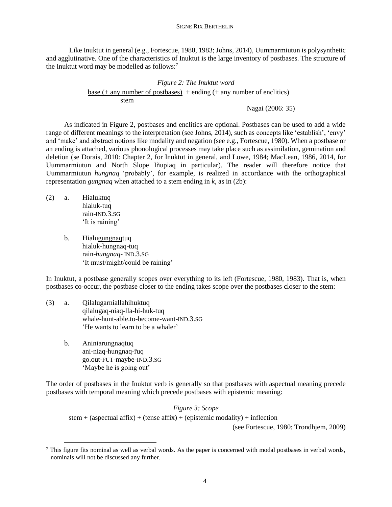Like Inuktut in general (e.g., Fortescue, 1980, 1983; Johns, 2014), Uummarmiutun is polysynthetic and agglutinative. One of the characteristics of Inuktut is the large inventory of postbases. The structure of the Inuktut word may be modelled as follows:<sup>7</sup>

$$
Figure 2: The Inuktut word
$$
  
\n
$$
\frac{\text{base (+ any number of postbases)}}{\text{stem}} + \text{ending (+ any number of encilities)}
$$

Nagai (2006: 35)

As indicated in Figure 2, postbases and enclitics are optional. Postbases can be used to add a wide range of different meanings to the interpretation (see Johns, 2014), such as concepts like 'establish', 'envy' and 'make' and abstract notions like modality and negation (see e.g., Fortescue, 1980). When a postbase or an ending is attached, various phonological processes may take place such as assimilation, gemination and deletion (se Dorais, 2010: Chapter 2, for Inuktut in general, and Lowe, 1984; MacLean, 1986, 2014, for Uummarmiutun and North Slope Iñupiaq in particular). The reader will therefore notice that Uummarmiutun *hungnaq* 'probably', for example, is realized in accordance with the orthographical representation *gungnaq* when attached to a stem ending in *k*, as in (2b):

(2) a. Hialuktuq hialuk-tuq rain-IND.3.SG 'It is raining'

 $\overline{a}$ 

b. Hialugungnaqtuq hialuk-hungnaq-tuq rain-*hungnaq*- IND.3.SG 'It must/might/could be raining'

In Inuktut, a postbase generally scopes over everything to its left (Fortescue, 1980, 1983). That is, when postbases co-occur, the postbase closer to the ending takes scope over the postbases closer to the stem:

- (3) a. Qilalugarniallahihuktuq qilalugaq-niaq-lla-hi-huk-tuq whale-hunt-able.to-become-want-IND.3.SG 'He wants to learn to be a whaler'
	- b. Aniniarungnaqtuq ani-niaq-hungnaq-ruq go.out-FUT-maybe-IND.3.SG 'Maybe he is going out'

The order of postbases in the Inuktut verb is generally so that postbases with aspectual meaning precede postbases with temporal meaning which precede postbases with epistemic meaning:

*Figure 3: Scope* stem + (aspectual affix) + (tense affix) + (epistemic modality) + inflection

(see Fortescue, 1980; Trondhjem, 2009)

 $7$  This figure fits nominal as well as verbal words. As the paper is concerned with modal postbases in verbal words, nominals will not be discussed any further.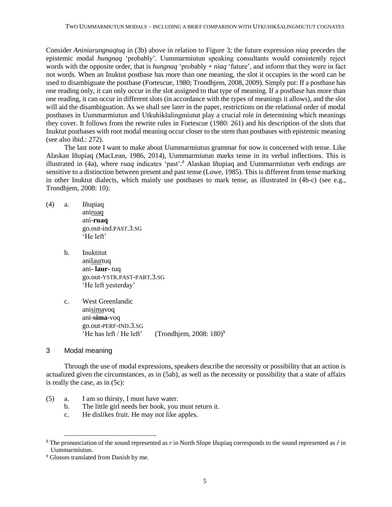Consider *Aniniarungnaqtuq* in (3b) above in relation to Figure 3; the future expression *niaq* precedes the epistemic modal *hungnaq* 'probably'. Uummarmiutun speaking consultants would consistently reject words with the opposite order, that is *hungnaq* 'probably + *niaq* 'future', and inform that they were in fact not words. When an Inuktut postbase has more than one meaning, the slot it occupies in the word can be used to disambiguate the postbase (Fortescue, 1980; Trondhjem, 2008, 2009). Simply put: If a postbase has one reading only, it can only occur in the slot assigned to that type of meaning. If a postbase has more than one reading, it can occur in different slots (in accordance with the types of meanings it allows), and the slot will aid the disambiguation. As we shall see later in the paper, restrictions on the relational order of modal postbases in Uummarmiutun and Utkuhikšalingmiutut play a crucial role in determining which meanings they cover. It follows from the rewrite rules in Fortescue (1980: 261) and his description of the slots that Inuktut postbases with root modal meaning occur closer to the stem than postbases with epistemic meaning (see also ibid.: 272).

The last note I want to make about Uummarmiutun grammar for now is concerned with tense. Like Alaskan Iñupiaq (MacLean, 1986, 2014), Uummarmiutun marks tense in its verbal inflections. This is illustrated in (4a), where *ruaq* indicates 'past'. <sup>8</sup> Alaskan Iñupiaq and Uummarmiutun verb endings are sensitive to a distinction between present and past tense (Lowe, 1985). This is different from tense marking in other Inuktut dialects, which mainly use postbases to mark tense, as illustrated in (4b-c) (see e.g., Trondhjem, 2008: 10):

- (4) a. Iñupiaq aniruaq ani-**ruaq** go.out-ind.PAST.3.SG 'He left'
	- b. Inuktitut anilaurtuq ani- **laur**- tuq go.out-YSTR.PAST-PART.3.SG 'He left yesterday'
	- c. West Greenlandic anisimavoq ani-**sima**-voq go.out-PERF-IND.3.SG 'He has left / He left' (Trondhjem,  $2008: 180$ <sup>9</sup>)<sup>9</sup>
- 3 Modal meaning

 $\overline{a}$ 

Through the use of modal expressions, speakers describe the necessity or possibility that an action is actualized given the circumstances, as in (5ab), as well as the necessity or possibility that a state of affairs is really the case, as in (5c):

- (5) a. I am so thirsty, I must have water.
	- b. The little girl needs her book, you must return it.
	- c. He dislikes fruit. He may not like apples.

<sup>&</sup>lt;sup>8</sup> The pronunciation of the sound represented as *r* in North Slope Iñupiaq corresponds to the sound represented as  $\hat{r}$  in Uummarmiutun.

<sup>&</sup>lt;sup>9</sup> Glosses translated from Danish by me.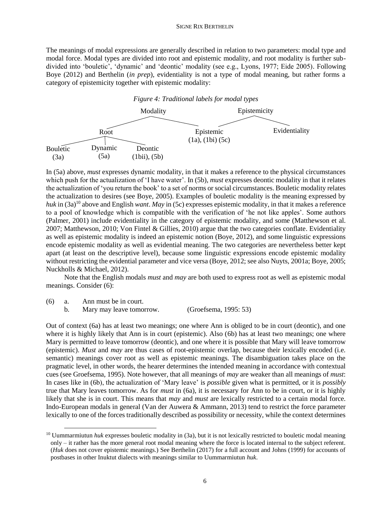The meanings of modal expressions are generally described in relation to two parameters: modal type and modal force. Modal types are divided into root and epistemic modality, and root modality is further subdivided into 'bouletic', 'dynamic' and 'deontic' modality (see e.g., Lyons, 1977; Eide 2005). Following Boye (2012) and Berthelin (*in prep*), evidentiality is not a type of modal meaning, but rather forms a category of epistemicity together with epistemic modality:



In (5a) above, *must* expresses dynamic modality, in that it makes a reference to the physical circumstances which push for the actualization of 'I have water'. In (5b), *must* expresses deontic modality in that it relates the actualization of 'you return the book' to a set of norms or social circumstances. Bouletic modality relates the actualization to desires (see Boye, 2005). Examples of bouletic modality is the meaning expressed by *huk* in (3a)<sup>10</sup> above and English *want*. *May* in (5c) expresses epistemic modality, in that it makes a reference to a pool of knowledge which is compatible with the verification of 'he not like apples'. Some authors (Palmer, 2001) include evidentiality in the category of epistemic modality, and some (Matthewson et al. 2007; Matthewson, 2010; Von Fintel & Gillies, 2010) argue that the two categories conflate. Evidentiality as well as epistemic modality is indeed an epistemic notion (Boye, 2012), and some linguistic expressions encode epistemic modality as well as evidential meaning. The two categories are nevertheless better kept apart (at least on the descriptive level), because some linguistic expressions encode epistemic modality without restricting the evidential parameter and vice versa (Boye, 2012; see also Nuyts, 2001a; Boye, 2005; Nuckholls & Michael, 2012).

Note that the English modals *must* and *may* are both used to express root as well as epistemic modal meanings. Consider (6):

(6) a. Ann must be in court.

 $\ddot{\phantom{a}}$ 

b. Mary may leave tomorrow. (Groefsema, 1995: 53)

Out of context (6a) has at least two meanings; one where Ann is obliged to be in court (deontic), and one where it is highly likely that Ann is in court (epistemic). Also (6b) has at least two meanings; one where Mary is permitted to leave tomorrow (deontic), and one where it is possible that Mary will leave tomorrow (epistemic). *Must* and *may* are thus cases of root-epistemic overlap, because their lexically encoded (i.e. semantic) meanings cover root as well as epistemic meanings. The disambiguation takes place on the pragmatic level, in other words, the hearer determines the intended meaning in accordance with contextual cues (see Groefsema, 1995). Note however, that all meanings of *may* are weaker than all meanings of *must*: In cases like in (6b), the actualization of 'Mary leave' is *possible* given what is permitted, or it is *possibly* true that Mary leaves tomorrow. As for *must* in (6a), it is necessary for Ann to be in court, or it is highly likely that she is in court. This means that *may* and *must* are lexically restricted to a certain modal force. Indo-European modals in general (Van der Auwera & Ammann, 2013) tend to restrict the force parameter lexically to one of the forces traditionally described as possibility or necessity, while the context determines

<sup>&</sup>lt;sup>10</sup> Uummarmiutun *huk* expresses bouletic modality in (3a), but it is not lexically restricted to bouletic modal meaning only – it rather has the more general root modal meaning where the force is located internal to the subject referent. (*Huk* does not cover epistemic meanings.) See Berthelin (2017) for a full account and Johns (1999) for accounts of postbases in other Inuktut dialects with meanings similar to Uummarmiutun *huk*.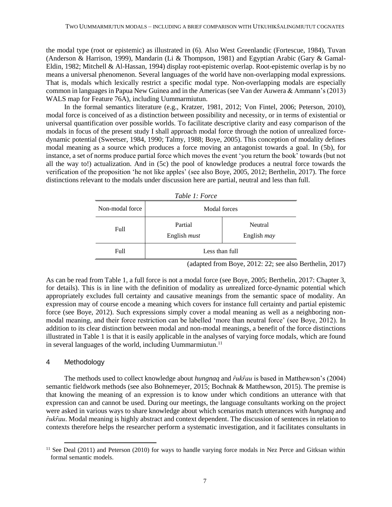the modal type (root or epistemic) as illustrated in (6). Also West Greenlandic (Fortescue, 1984), Tuvan (Anderson & Harrison, 1999), Mandarin (Li & Thompson, 1981) and Egyptian Arabic (Gary & Gamal-Eldin, 1982; Mitchell & Al-Hassan, 1994) display root-epistemic overlap. Root-epistemic overlap is by no means a universal phenomenon. Several languages of the world have non-overlapping modal expressions. That is, modals which lexically restrict a specific modal type. Non-overlapping modals are especially common in languages in Papua New Guinea and in the Americas (see Van der Auwera & Ammann's (2013) WALS map for Feature 76A), including Uummarmiutun.

In the formal semantics literature (e.g., Kratzer, 1981, 2012; Von Fintel, 2006; Peterson, 2010), modal force is conceived of as a distinction between possibility and necessity, or in terms of existential or universal quantification over possible worlds. To facilitate descriptive clarity and easy comparison of the modals in focus of the present study I shall approach modal force through the notion of unrealized forcedynamic potential (Sweetser, 1984, 1990; Talmy, 1988; Boye, 2005). This conception of modality defines modal meaning as a source which produces a force moving an antagonist towards a goal. In (5b), for instance, a set of norms produce partial force which moves the event 'you return the book' towards (but not all the way to!) actualization. And in (5c) the pool of knowledge produces a neutral force towards the verification of the proposition 'he not like apples' (see also Boye, 2005, 2012; Berthelin, 2017). The force distinctions relevant to the modals under discussion here are partial, neutral and less than full.

| Table 1: Force  |                                |                                      |  |
|-----------------|--------------------------------|--------------------------------------|--|
| Non-modal force | <b>Modal</b> forces            |                                      |  |
| Full            | Partial<br>English <i>must</i> | <b>Neutral</b><br>English <i>may</i> |  |
| Full            | Less than full                 |                                      |  |

(adapted from Boye, 2012: 22; see also Berthelin, 2017)

As can be read from Table 1, a full force is not a modal force (see Boye, 2005; Berthelin, 2017: Chapter 3, for details). This is in line with the definition of modality as *un*realized force-dynamic potential which appropriately excludes full certainty and causative meanings from the semantic space of modality. An expression may of course encode a meaning which covers for instance full certainty and partial epistemic force (see Boye, 2012). Such expressions simply cover a modal meaning as well as a neighboring nonmodal meaning, and their force restriction can be labelled 'more than neutral force' (see Boye, 2012). In addition to its clear distinction between modal and non-modal meanings, a benefit of the force distinctions illustrated in Table 1 is that it is easily applicable in the analyses of varying force modals, which are found in several languages of the world, including Uummarmiutun.<sup>11</sup>

# 4 Methodology

 $\ddot{\phantom{a}}$ 

The methods used to collect knowledge about *hungnaq* and  $\hat{r} u \hat{k} \hat{r} a u$  is based in Matthewson's (2004) semantic fieldwork methods (see also Bohnemeyer, 2015; Bochnak & Matthewson, 2015). The premise is that knowing the meaning of an expression is to know under which conditions an utterance with that expression can and cannot be used. During our meetings, the language consultants working on the project were asked in various ways to share knowledge about which scenarios match utterances with *hungnaq* and *ȓukȓau*. Modal meaning is highly abstract and context dependent. The discussion of sentences in relation to contexts therefore helps the researcher perform a systematic investigation, and it facilitates consultants in

<sup>&</sup>lt;sup>11</sup> See Deal (2011) and Peterson (2010) for ways to handle varying force modals in Nez Perce and Gitksan within formal semantic models.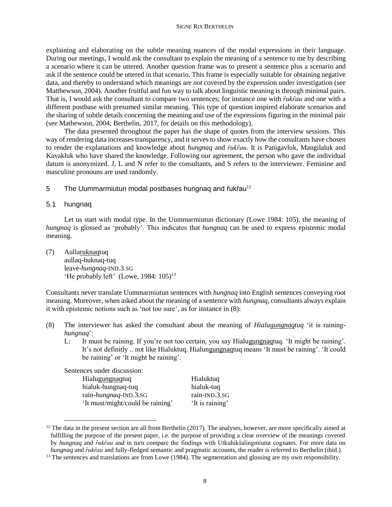explaining and elaborating on the subtle meaning nuances of the modal expressions in their language. During our meetings, I would ask the consultant to explain the meaning of a sentence to me by describing a scenario where it can be uttered. Another question frame was to present a sentence plus a scenario and ask if the sentence could be uttered in that scenario. This frame is especially suitable for obtaining negative data, and thereby to understand which meanings are *not* covered by the expression under investigation (see Matthewson, 2004). Another fruitful and fun way to talk about linguistic meaning is through minimal pairs. That is, I would ask the consultant to compare two sentences; for instance one with *fukfau* and one with a different postbase with presumed similar meaning. This type of question inspired elaborate scenarios and the sharing of subtle details concerning the meaning and use of the expressions figuring in the minimal pair (see Mathewson, 2004; Berthelin, 2017, for details on this methodology).

The data presented throughout the paper has the shape of quotes from the interview sessions. This way of rendering data increases transparency, and it serves to show exactly how the consultants have chosen to render the explanations and knowledge about *hungnaq* and *fukfau*. It is Panigavluk, Mangilaluk and Kavakłuk who have shared the knowledge. Following our agreement, the person who gave the individual datum is anonymized. J, L and N refer to the consultants, and S refers to the interviewer. Feminine and masculine pronouns are used randomly.

5 The Uummarmiutun modal postbases hungnag and  $\frac{f}{L}$ uk $\frac{f}{L}$ au<sup>12</sup>

## 5.1 hungnaq

 $\overline{a}$ 

Let us start with modal type. In the Uummarmiutun dictionary (Lowe 1984: 105), the meaning of *hungnaq* is glossed as 'probably'. This indicates that *hungnaq* can be used to express epistemic modal meaning.

(7) Aullaruknaqtuq aullaq-huknaq-tuq leave-*hungnaq*-IND.3.SG 'He probably left' (Lowe,  $1984: 105$ )<sup>13</sup>

Consultants never translate Uummarmiutun sentences with *hungnaq* into English sentences conveying root meaning. Moreover, when asked about the meaning of a sentence with *hungnaq*, consultants always explain it with epistemic notions such as 'not too sure', as for instance in (8):

- (8) The interviewer has asked the consultant about the meaning of *Hialugungnaqtuq* 'it is raining*hungnaq*':
	- L: It must be raining. If you're not too certain, you say Hialugungnaqtuq. 'It might be raining'. It's not definitly .. not like Hialuktuq. Hialungungnaqtuq means 'It must be raining'. 'It could be raining' or 'It might be raining'.

Sentences under discussion:

| Hialugungnaqtuq                  | Hialuktuq       |
|----------------------------------|-----------------|
| hialuk-hungnaq-tuq               | hialuk-tuq      |
| rain-hungnaq-IND.3.SG            | rain-IND.3.SG   |
| 'It must/might/could be raining' | 'It is raining' |

 $12$  The data in the present section are all from Berthelin (2017). The analyses, however, are more specifically aimed at fulfilling the purpose of the present paper, i.e. the purpose of providing a clear overview of the meanings covered by *hungnaq* and *ȓukȓau* and in turn compare the findings with Utkuhikšalingmiutut cognates. For more data on *hungnaq* and *fukfau* and fully-fledged semantic and pragmatic accounts, the reader is referred to Berthelin (ibid.).

 $<sup>13</sup>$  The sentences and translations are from Lowe (1984). The segmentation and glossing are my own responsibility.</sup>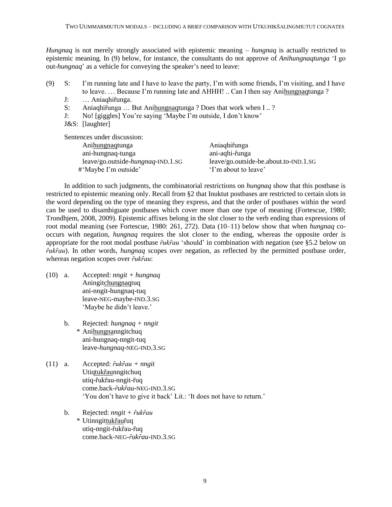*Hungnaq* is not merely strongly associated with epistemic meaning – *hungnaq* is actually restricted to epistemic meaning. In (9) below, for instance, the consultants do not approve of *Anihungnaqtunga* 'I go out-*hungnaq*' as a vehicle for conveying the speaker's need to leave:

- (9) S: I'm running late and I have to leave the party, I'm with some friends, I'm visiting, and I have to leave. ... Because I'm running late and AHHH! .. Can I then say Anihungnaqtunga ?
	- J: … Aniaghirunga.
	- S: Aniaghifunga ... But Anihungnaqtunga ? Does that work when I .. ?
	- J: No! [giggles] You're saying 'Maybe I'm outside, I don't know'
	- J&S: [laughter]

Sentences under discussion: Anihungnaqtunga Aniaqhifunga ani-hungnaq-tunga ani-aqhi-funga leave/go.outside-*hungnaq*-IND.1.SG leave/go.outside-be.about.to-IND.1.SG<br>'Mavbe I'm outside' 'I'm about to leave' #'Maybe I'm outside'

In addition to such judgments, the combinatorial restrictions on *hungnaq* show that this postbase is restricted to epistemic meaning only. Recall from §2 that Inuktut postbases are restricted to certain slots in the word depending on the type of meaning they express, and that the order of postbases within the word can be used to disambiguate postbases which cover more than one type of meaning (Fortescue, 1980; Trondhjem, 2008, 2009). Epistemic affixes belong in the slot closer to the verb ending than expressions of root modal meaning (see Fortescue, 1980: 261, 272). Data (10–11) below show that when *hungnaq* cooccurs with negation, *hungnaq* requires the slot closer to the ending, whereas the opposite order is appropriate for the root modal postbase  $\hat{r}$ uk $\hat{r}$ au 'should' in combination with negation (see §5.2 below on *ȓukȓau*). In other words, *hungnaq* scopes over negation, as reflected by the permitted postbase order, whereas negation scopes over  $\hat{r}$ *uk* $\hat{r}$ *au*:

- (10) a. Accepted: *nngit + hungnaq* Aningitchungnaqtuq ani-nngit-hungnaq-tuq leave-NEG-maybe-IND.3.SG 'Maybe he didn't leave.'
	- b. Rejected: *hungnaq + nngit* \* Anihungnanngitchuq ani-hungnaq-nngit-tuq leave-*hungnaq*-NEG-IND.3.SG
- (11) a. Accepted: *ȓukȓau + nngit* Utiqtukfaunngitchuq utiq-fukfau-nngit-fuq come.back-*ȓukȓau*-NEG-IND.3.SG 'You don't have to give it back' Lit.: 'It does not have to return.'
	- b. Rejected: *nngit + ȓukȓau* \* Utinngittukȓauȓuq utiq**-**nngit-ȓukȓau-ȓuq come.back-NEG-*ȓukȓau*-IND.3.SG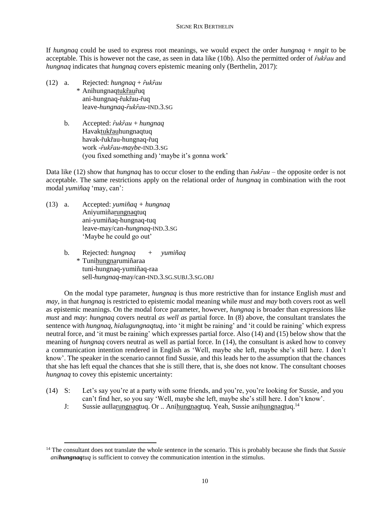If *hungnaq* could be used to express root meanings, we would expect the order *hungnaq* + *nngit* to be acceptable. This is however not the case, as seen in data like (10b). Also the permitted order of *fukfau* and *hungnaq* indicates that *hungnaq* covers epistemic meaning only (Berthelin, 2017):

- (12) a. Rejected: *hungnaq* + *ȓukȓau* \* Anihungnaqtukȓauȓuq ani-hungnaq-fukfau-fuq leave-*hungnaq*-*ȓukȓau*-IND.3.SG
	- b. Accepted: *ȓukȓau* + *hungnaq* Havaktukȓauhungnaqtuq havak-fukfau-hungnaq-fuq work -*ȓukȓau*-*maybe*-IND.3.SG (you fixed something and) 'maybe it's gonna work'

Data like (12) show that *hungnaq* has to occur closer to the ending than  $\hat{r} u \hat{k} \hat{r} a u$  – the opposite order is not acceptable. The same restrictions apply on the relational order of *hungnaq* in combination with the root modal *yumiñaq* 'may, can':

(13) a. Accepted: *yumiñaq + hungnaq* Aniyumiñarungnaqtuq ani-yumiñaq-hungnaq-tuq leave-may/can-*hungnaq*-IND.3.SG 'Maybe he could go out'

 $\ddot{\phantom{a}}$ 

b. Rejected: *hungnaq + yumiñaq*  \* Tunihungnarumiñaraa tuni-hungnaq-yumiñaq-raa sell-*hungnaq*-may/can-IND.3.SG.SUBJ.3.SG.OBJ

On the modal type parameter, *hungnaq* is thus more restrictive than for instance English *must* and *may*, in that *hungnaq* is restricted to epistemic modal meaning while *must* and *may* both covers root as well as epistemic meanings. On the modal force parameter, however, *hungnaq* is broader than expressions like *must* and *may*: *hungnaq* covers neutral *as well as* partial force. In (8) above, the consultant translates the sentence with *hungnaq*, *hialugungnaqtuq*, into 'it might be raining' and 'it could be raining' which express neutral force, and 'it must be raining' which expresses partial force. Also (14) and (15) below show that the meaning of *hungnaq* covers neutral as well as partial force. In (14), the consultant is asked how to convey a communication intention rendered in English as 'Well, maybe she left, maybe she's still here. I don't know'. The speaker in the scenario cannot find Sussie, and this leads her to the assumption that the chances that she has left equal the chances that she is still there, that is, she does not know. The consultant chooses *hungnaq* to covey this epistemic uncertainty:

- (14) S: Let's say you're at a party with some friends, and you're, you're looking for Sussie, and you can't find her, so you say 'Well, maybe she left, maybe she's still here. I don't know'.
	- J: Sussie aullarungnaqtuq. Or .. Anihungnaqtuq. Yeah, Sussie anihungnaqtuq.<sup>14</sup>

<sup>&</sup>lt;sup>14</sup> The consultant does not translate the whole sentence in the scenario. This is probably because she finds that *Sussie anihungnaqtuq* is sufficient to convey the communication intention in the stimulus.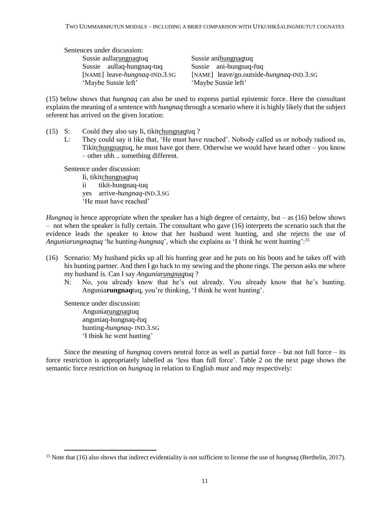Sentences under discussion: Sussie aullarungnaqtuq Sussie anihungnaqtuq Sussie aullaq-hungnaq-tuq<br>
[NAME] leave-*hungnaq*-IND.3.SG [NAME] leave/go.outside-

[NAME] leave-*hungnaq*-IND.3.SG [NAME] leave/go.outside-*hungnaq*-IND.3.SG 'Maybe Sussie left'

(15) below shows that *hungnaq* can also be used to express partial epistemic force. Here the consultant explains the meaning of a sentence with *hungnaq* through a scenario where it is highly likely that the subject referent has arrived on the given location:

- (15) S: Could they also say Ii, tikitchungnaqtuq ?
	- L: They could say it like that, 'He must have reached'. Nobody called us or nobody radioed us, Tikitchungnaqtuq, he must have got there. Otherwise we would have heard other – you know – other uhh .. something different.

Sentence under discussion:

Ii, tikitchungnaqtuq ii tikit-hungnaq-tuq yes arrive-*hungnaq*-IND.3.SG 'He must have reached'

*Hungnaq* is hence appropriate when the speaker has a high degree of certainty, but – as (16) below shows – not when the speaker is fully certain. The consultant who gave (16) interprets the scenario such that the evidence leads the speaker to *know* that her husband went hunting, and she rejects the use of *Anguniarungnaqtuq* 'he hunting-*hungnaq*', which she explains as 'I think he went hunting':<sup>15</sup>

- (16) Scenario: My husband picks up all his hunting gear and he puts on his boots and he takes off with his hunting partner. And then I go back to my sewing and the phone rings. The person asks me where my husband is. Can I say *Anguniarungnaqtuq* ?
	- N: No, you already know that he's out already. You already know that he's hunting. Angunia**rungnaq**tuq, you're thinking, 'I think he went hunting'.

Sentence under discussion: Anguniarungnaqtuq anguniaq-hungnaq-fuq hunting-*hungnaq*- IND.3.SG 'I think he went hunting'

 $\overline{a}$ 

Since the meaning of *hungnaq* covers neutral force as well as partial force – but not full force – its force restriction is appropriately labelled as 'less than full force'. Table 2 on the next page shows the semantic force restriction on *hungnaq* in relation to English *must* and *may* respectively:

<sup>15</sup> Note that (16) also shows that indirect evidentiality is not sufficient to license the use of *hungnaq* (Berthelin, 2017).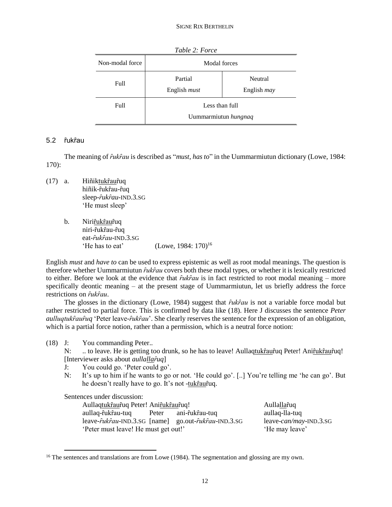| Table 2: Force  |                                        |                               |  |
|-----------------|----------------------------------------|-------------------------------|--|
| Non-modal force | Modal forces                           |                               |  |
| Full            | Partial<br>English <i>must</i>         | Neutral<br>English <i>may</i> |  |
| Full            | Less than full<br>Uummarmiutun hungnaq |                               |  |

# 5.2 ȓukȓau

The meaning of *ȓukȓau* is described as "*must, has to*" in the Uummarmiutun dictionary (Lowe, 1984: 170):

- (17) a. Hiñiktukȓauȓuq hiñik-fukfau-fuq sleep-*ȓukȓau*-IND.3.SG 'He must sleep'
	- b. Nirifukfaufuq niri-fukfau-fuq eat-*ȓukȓau*-IND.3.SG 'He has to eat'  $(Lowe, 1984: 170)^{16}$

English *must* and *have to* can be used to express epistemic as well as root modal meanings. The question is therefore whether Uummarmiutun  $\hat{r}uk\hat{r}au$  covers both these modal types, or whether it is lexically restricted to either. Before we look at the evidence that *fukfau* is in fact restricted to root modal meaning – more specifically deontic meaning – at the present stage of Uummarmiutun, let us briefly address the force restrictions on *ȓukȓau*.

The glosses in the dictionary (Lowe, 1984) suggest that *fukfau* is not a variable force modal but rather restricted to partial force. This is confirmed by data like (18). Here J discusses the sentence *Peter aulluqtuk* $\hat{r}$ *au* $\hat{r}$ *uq* 'Peter leave- $\hat{r}$ *uk* $\hat{r}$ *au*'. She clearly reserves the sentence for the expression of an obligation, which is a partial force notion, rather than a permission, which is a neutral force notion:

(18) J: You commanding Peter..

N: ... to leave. He is getting too drunk, so he has to leave! Aullaqtuk fau $\hat{r}$ uq Peter! Ani $\hat{r}$ uk $\hat{r}$ au $\hat{r}$ uq! [Interviewer asks about *aullallaȓuq*]

- J: You could go. 'Peter could go'.
- N: It's up to him if he wants to go or not. 'He could go'. [..] You're telling me 'he can go'. But he doesn't really have to go. It's not -tukrauruq.

Sentences under discussion:

 $\overline{a}$ 

Aullaqtukfaufuq Peter! Anifukfaufuq! Aullallafuq aullaq-fukfau-tuq Peter ani-fukfau-tuq aullaq-lla-tuq leave-*ȓukȓau*-IND.3.SG [name] go.out-*ȓukȓau*-IND.3.SG leave-*can/may*-IND.3.SG 'Peter must leave! He must get out!' 'He may leave'

<sup>&</sup>lt;sup>16</sup> The sentences and translations are from Lowe (1984). The segmentation and glossing are my own.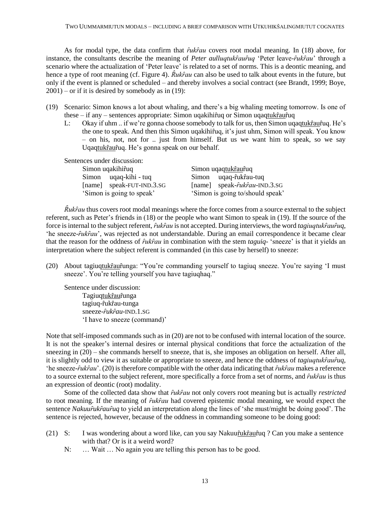As for modal type, the data confirm that  $\hat{r}uk\hat{r}au$  covers root modal meaning. In (18) above, for instance, the consultants describe the meaning of *Peter aulluqtukrauruq* 'Peter leave-*rukrau*' through a scenario where the actualization of 'Peter leave' is related to a set of norms. This is a deontic meaning, and hence a type of root meaning (cf. Figure 4).  $\hat{R}uk\hat{r}au$  can also be used to talk about events in the future, but only if the event is planned or scheduled – and thereby involves a social contract (see Brandt, 1999; Boye,  $2001$ ) – or if it is desired by somebody as in (19):

- (19) Scenario: Simon knows a lot about whaling, and there's a big whaling meeting tomorrow. Is one of these – if any – sentences appropriate: Simon uqakihiruq or Simon uqaqtukrauruq
	- L: Okay if uhm .. if we're gonna choose somebody to talk for us, then Simon uqaqtukfaufuq. He's the one to speak. And then this Simon ugakihirtuq, it's just uhm, Simon will speak. You know – on his, not, not for .. just from himself. But us we want him to speak, so we say Uqaqtukfaufuq. He's gonna speak on our behalf.

Sentences under discussion:

| Simon uqakihirtuq         | Simon uqaqtukrauruq                             |  |
|---------------------------|-------------------------------------------------|--|
| Simon uqaq-kihi - tuq     | Simon uqaq-fukfau-tuq                           |  |
| [name] speak-FUT-IND.3.SG | [name] $speak$ - $\hat{r}uk\hat{r}au$ -IND.3.SG |  |
| 'Simon is going to speak' | 'Simon is going to/should speak'                |  |

*Rukfau* thus covers root modal meanings where the force comes from a source external to the subject referent, such as Peter's friends in (18) or the people who want Simon to speak in (19). If the source of the force is internal to the subject referent, *fukfau* is not accepted. During interviews, the word *tagiuqtukfaufuq*, 'he sneeze-*fukfau'*, was rejected as not understandable. During an email correspondence it became clear that the reason for the oddness of *fukfau* in combination with the stem *taguiq*- 'sneeze' is that it yields an interpretation where the subject referent is commanded (in this case by herself) to sneeze:

(20) About tagiuqtukfaufunga: "You're commanding yourself to tagiuq sneeze. You're saying 'I must sneeze'. You're telling yourself you have tagiuqhaq."

Sentence under discussion: Tagiuqtukraurunga tagiuq-rukrau-tunga sneeze-*ȓukȓau*-IND.1.SG 'I have to sneeze (command)'

Note that self-imposed commands such as in (20) are not to be confused with internal location of the source. It is not the speaker's internal desires or internal physical conditions that force the actualization of the sneezing in (20) – she commands herself to sneeze, that is, she imposes an obligation on herself. After all, it is slightly odd to view it as suitable or appropriate to sneeze, and hence the oddness of *tagiuqtukfaufuq*, 'he sneeze-*ȓukȓau*'. (20) is therefore compatible with the other data indicating that *ȓukȓau* makes a reference to a source external to the subject referent, more specifically a force from a set of norms, and *fukfau* is thus an expression of deontic (root) modality.

Some of the collected data show that *fukfau* not only covers root meaning but is actually *restricted* to root meaning. If the meaning of *fukfau* had covered epistemic modal meaning, we would expect the sentence *Nakuur̂ukr̂aur̂uq* to yield an interpretation along the lines of 'she must/might be doing good'. The sentence is rejected, however, because of the oddness in commanding someone to be doing good:

- (21) S: I was wondering about a word like, can you say Nakuu<del>fukfaufuq</del> ? Can you make a sentence with that? Or is it a weird word?
	- N: ... Wait ... No again you are telling this person has to be good.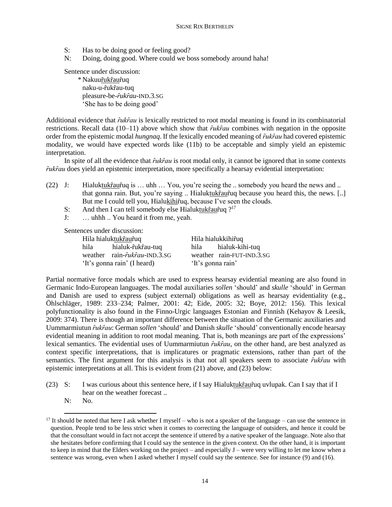- S: Has to be doing good or feeling good?
- N: Doing, doing good. Where could we boss somebody around haha!

Sentence under discussion:

 \* Nakuuȓukȓauȓuq naku-u-fukfau-tuq pleasure-be-*ȓukȓau*-IND.3.SG 'She has to be doing good'

Additional evidence that  $\hat{r}uk\hat{r}au$  is lexically restricted to root modal meaning is found in its combinatorial restrictions. Recall data (10−11) above which show that *fukfau* combines with negation in the opposite order from the epistemic modal *hungnaq*. If the lexically encoded meaning of *fukfau* had covered epistemic modality, we would have expected words like (11b) to be acceptable and simply yield an epistemic interpretation.

In spite of all the evidence that  $\hat{r}uk\hat{r}au$  is root modal only, it cannot be ignored that in some contexts *fukfau* does yield an epistemic interpretation, more specifically a hearsay evidential interpretation:

(22) J: Hialuktukfaufuq is ... uhh ... You, you're seeing the .. somebody you heard the news and .. that gonna rain. But, you're saying .. Hialuktukfaufuq because you heard this, the news. [..] But me I could tell you, Hialukihiruq, because I've seen the clouds.

- S: And then I can tell somebody else Hialuktuk $\hat{r}$ au $\hat{r}$ uq ?<sup>17</sup>
- J: … uhhh .. You heard it from me, yeah.

Sentences under discussion:

| Hila hialuktukfaufuq |                                       |                   | Hila hialukkihifuq        |  |
|----------------------|---------------------------------------|-------------------|---------------------------|--|
| hila                 | hialuk-rtukrau-tuq                    |                   | hila hialuk-kihi-tuq      |  |
|                      | weather rain- <i>fukfau</i> -IND.3.SG |                   | weather rain-FUT-IND.3.SG |  |
|                      | 'It's gonna rain' (I heard)           | 'It's gonna rain' |                           |  |

Partial normative force modals which are used to express hearsay evidential meaning are also found in Germanic Indo-European languages. The modal auxiliaries *sollen* 'should' and *skulle* 'should' in German and Danish are used to express (subject external) obligations as well as hearsay evidentiality (e.g., Öhlschläger, 1989: 233–234; Palmer, 2001: 42; Eide, 2005: 32; Boye, 2012: 156). This lexical polyfunctionality is also found in the Finno-Urgic languages Estonian and Finnish (Kehayov & Leesik, 2009: 374). There is though an important difference between the situation of the Germanic auxiliaries and Uummarmiutun *ȓukȓau*: German *sollen* 'should' and Danish *skulle* 'should' conventionally encode hearsay evidential meaning in addition to root modal meaning. That is, both meanings are part of the expressions' lexical semantics. The evidential uses of Uummarmiutun  $\hat{r}uk\hat{r}au$ , on the other hand, are best analyzed as context specific interpretations, that is implicatures or pragmatic extensions, rather than part of the semantics. The first argument for this analysis is that not all speakers seem to associate  $\hat{r}$ uk $\hat{r}$ au with epistemic interpretations at all. This is evident from (21) above, and (23) below:

- (23) S: I was curious about this sentence here, if I say Hialuktukfaufuq uvlupak. Can I say that if I hear on the weather forecast ..
	- N: No.

 $\overline{a}$ 

<sup>&</sup>lt;sup>17</sup> It should be noted that here I ask whether I myself – who is not a speaker of the language – can use the sentence in question. People tend to be less strict when it comes to correcting the language of outsiders, and hence it could be that the consultant would in fact not accept the sentence if uttered by a native speaker of the language. Note also that she hesitates before confirming that I could say the sentence in the given context. On the other hand, it is important to keep in mind that the Elders working on the project – and especially J – were very willing to let me know when a sentence was wrong, even when I asked whether I myself could say the sentence. See for instance (9) and (16).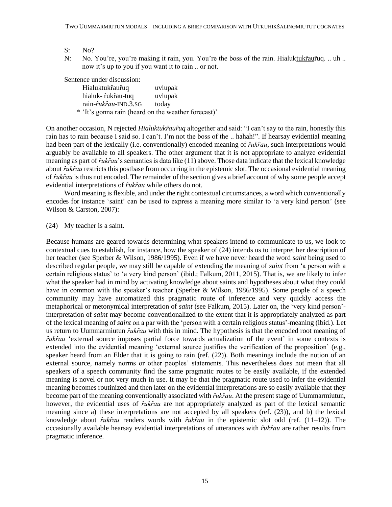- S: No?
- N: No. You're, you're making it rain, you. You're the boss of the rain. Hialuktukfaufuq. .. uh .. now it's up to you if you want it to rain .. or not.

Sentence under discussion:

| Hialuktukrauruq                                     | uvlupak |
|-----------------------------------------------------|---------|
| hialuk- fukfau-tuq                                  | uvlupak |
| rain- <i>fukfau</i> -IND.3.SG                       | today   |
| * 'It's gonna rain (heard on the weather forecast)' |         |

On another occasion, N rejected *Hialuktukraur<sup>uq</sup>* altogether and said: "I can't say to the rain, honestly this rain has to rain because I said so. I can't. I'm not the boss of the .. hahah!". If hearsay evidential meaning had been part of the lexically (i.e. conventionally) encoded meaning of *fukfau*, such interpretations would arguably be available to all speakers. The other argument that it is not appropriate to analyze evidential meaning as part of *fukfau*'s semantics is data like (11) above. Those data indicate that the lexical knowledge about *fukfau* restricts this postbase from occurring in the epistemic slot. The occasional evidential meaning of *ȓukȓau* is thus not encoded. The remainder of the section gives a brief account of why some people accept evidential interpretations of  $\hat{r}$ *uk* $\hat{r}$ *au* while others do not.

Word meaning is flexible, and under the right contextual circumstances, a word which conventionally encodes for instance 'saint' can be used to express a meaning more similar to 'a very kind person' (see Wilson & Carston, 2007):

(24) My teacher is a saint.

Because humans are geared towards determining what speakers intend to communicate to us, we look to contextual cues to establish, for instance, how the speaker of (24) intends us to interpret her description of her teacher (see Sperber & Wilson, 1986/1995). Even if we have never heard the word *saint* being used to described regular people, we may still be capable of extending the meaning of *saint* from 'a person with a certain religious status' to 'a very kind person' (ibid.; Falkum, 2011, 2015). That is, we are likely to infer what the speaker had in mind by activating knowledge about saints and hypotheses about what they could have in common with the speaker's teacher (Sperber & Wilson, 1986/1995). Some people of a speech community may have automatized this pragmatic route of inference and very quickly access the metaphorical or metonymical interpretation of *saint* (see Falkum, 2015). Later on, the 'very kind person' interpretation of *saint* may become conventionalized to the extent that it is appropriately analyzed as part of the lexical meaning of *saint* on a par with the 'person with a certain religious status'-meaning (ibid.). Let us return to Uummarmiutun *fukfau* with this in mind. The hypothesis is that the encoded root meaning of *fukfau* 'external source imposes partial force towards actualization of the event' in some contexts is extended into the evidential meaning 'external source justifies the verification of the proposition' (e.g., speaker heard from an Elder that it is going to rain (ref. (22)). Both meanings include the notion of an external source, namely norms or other peoples' statements. This nevertheless does not mean that all speakers of a speech community find the same pragmatic routes to be easily available, if the extended meaning is novel or not very much in use. It may be that the pragmatic route used to infer the evidential meaning becomes routinized and then later on the evidential interpretations are so easily available that they become part of the meaning conventionally associated with  $\hat{r}uk\hat{r}au$ . At the present stage of Uummarmiutun, however, the evidential uses of *fukfau* are not appropriately analyzed as part of the lexical semantic meaning since a) these interpretations are not accepted by all speakers (ref. (23)), and b) the lexical knowledge about *fukfau* renders words with *fukfau* in the epistemic slot odd (ref. (11–12)). The occasionally available hearsay evidential interpretations of utterances with *fukfau* are rather results from pragmatic inference.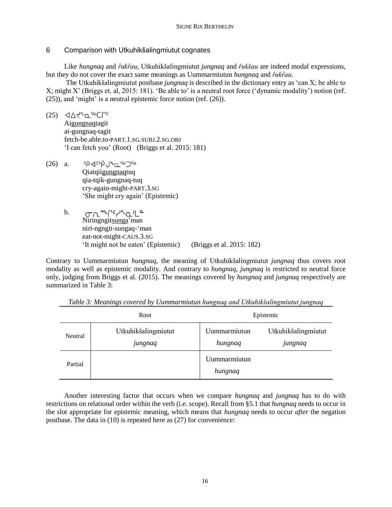# 6 Comparison with Utkuhikšalingmiutut cognates

Like *hungnaq* and *ȓukȓau*, Utkuhikšalingmiutut *jungnaq* and *řukšau* are indeed modal expressions, but they do not cover the exact same meanings as Uummarmiutun *hungnaq* and *ȓukȓau*.

The Utkuhikšalingmiutut postbase *jungnaq* is described in the dictionary entry as 'can X; be able to X; might X' (Briggs et. al, 2015: 181). 'Be able to' is a neutral root force ('dynamic modality') notion (ref. (25)), and 'might' is a neutral epistemic force notion (ref. (26)).

 $(25)$   $\triangleleft\triangle\zeta^{a}$ <sub>Q</sub> $5b$ Crc

Aigungnaqtagit ai-gungnaq-tagit fetch-be.able.to-PART.1.SG.SUBJ.2.SG.OBJ 'I can fetch you' (Root) (Briggs et al. 2015: 181)

- 5P√csp 1° 0 5b 75b (26) a. Qiatqiigungnaqtuq qia-tqik-gungnaq-tuq cry-again-might-PART.3.SG 'She might cry again' (Epistemic)
	- ๛๛๛๛๛๛ b. Niringngitsunga'man niri-ngngit-sungaq-'man eat-not-might-CAUS.3.SG 'It might not be eaten' (Epistemic) (Briggs et al. 2015: 182)

Contrary to Uummarmiutun *hungnaq*, the meaning of Utkuhikšalingmiutut *jungnaq* thus covers root modality as well as epistemic modality. And contrary to *hungnaq*, *jungnaq* is restricted to neutral force only, judging from Briggs et al. (2015). The meanings covered by *hungnaq* and *jungnaq* respectively are summarized in Table 3:

| Root    |                                | Epistemic               |                                |
|---------|--------------------------------|-------------------------|--------------------------------|
| Neutral | Utkuhikšalingmiutut<br>jungnaq | Uummarmiutun<br>hungnaq | Utkuhikšalingmiutut<br>jungnaq |
| Partial |                                | Uummarmiutun<br>hungnaq |                                |

*Table 3: Meanings covered by Uummarmiutun hungnaq and Utkuhikšalingmiutut jungnaq*

Another interesting factor that occurs when we compare *hungnaq* and *jungnaq* has to do with restrictions on relational order within the verb (i.e. scope). Recall from §5.1 that *hungnaq* needs to occur in the slot appropriate for epistemic meaning, which means that *hungnaq* needs to occur *after* the negation postbase. The data in (10) is repeated here as (27) for convenience: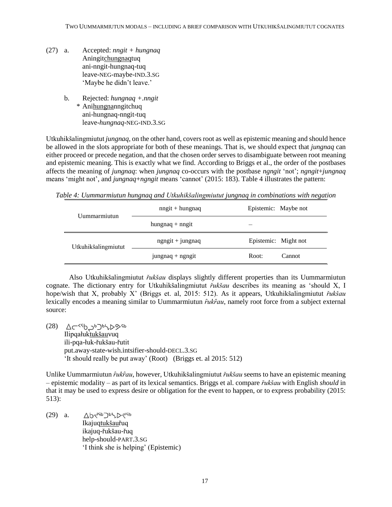- (27) a. Accepted: *nngit + hungnaq* Aningitchungnaqtuq ani-nngit-hungnaq-tuq leave-NEG-maybe-IND.3.SG 'Maybe he didn't leave.'
	- b. Rejected: *hungnaq +.nngit* \* Anihungnanngitchuq ani-hungnaq-nngit-tuq leave-*hungnaq*-NEG-IND.3.SG

Utkuhikšalingmiutut *jungnaq*, on the other hand, covers root as well as epistemic meaning and should hence be allowed in the slots appropriate for both of these meanings. That is, we should expect that *jungnaq* can either proceed or precede negation, and that the chosen order serves to disambiguate between root meaning and epistemic meaning. This is exactly what we find. According to Briggs et al., the order of the postbases affects the meaning of *jungnaq*: when *jungnaq* co-occurs with the postbase *ngngit* 'not'; *ngngit*+*jungnaq* means 'might not', and *jungnaq*+*ngngit* means 'cannot' (2015: 183). Table 4 illustrates the pattern:

*Table 4: Uummarmiutun hungnaq and Utkuhikšalingmiutut jungnaq in combinations with negation*

| Uummarmiutun        | $nngit + hungnaq$   | Epistemic: Maybe not |
|---------------------|---------------------|----------------------|
|                     | hungnaq $+$ nngit   |                      |
| Utkuhikšalingmiutut | $n$ gngit + jungnaq | Epistemic: Might not |
|                     | $j$ ungnaq + ngngit | Root:<br>Cannot      |

Also Utkuhikšalingmiutut *řukšau* displays slightly different properties than its Uummarmiutun cognate. The dictionary entry for Utkuhikšalingmiutut *řukšau* describes its meaning as 'should X, I hope/wish that X, probably X' (Briggs et. al, 2015: 512). As it appears, Utkuhikšalingmiutut *řukšau* lexically encodes a meaning similar to Uummarmiutun  $\hat{r}$ uk $\hat{r}$ au, namely root force from a subject external source:

<sup>49</sup><9√<sup>4</sup>כלה (28) ב-Q Ilipqałuktukšauvuq ili-pqa-łuk-řukšau-řutit put.away-state-wish.intsifier-should-DECL.3.SG 'It should really be put away' (Root) (Briggs et. al 2015: 512)

Unlike Uummarmiutun *ȓukȓau*, however, Utkuhikšalingmiutut *řukšau* seems to have an epistemic meaning – epistemic modality – as part of its lexical semantics. Briggs et al. compare *řukšau* with English *should* in that it may be used to express desire or obligation for the event to happen, or to express probability (2015: 513):

(29) a. ひりくいついしくい Ikajuqtukšauřuq ikajuq-řukšau-řuq help-should-PART.3.SG 'I think she is helping' (Epistemic)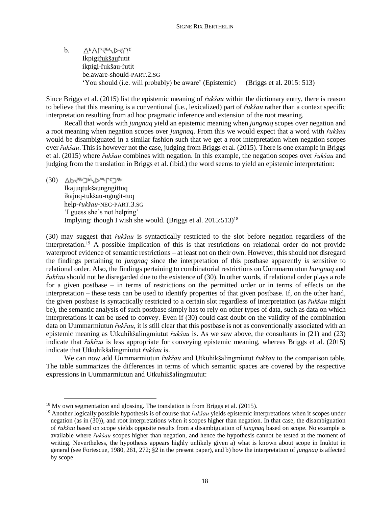VPVU4p/D4Uc b. Ikpigiřukšauřutit ikpigi-řukšau-řutit be.aware-should*-*PART.2.SG 'You should (i.e. will probably) be aware' (Epistemic) (Briggs et al. 2015: 513)

Since Briggs et al. (2015) list the epistemic meaning of *řukšau* within the dictionary entry, there is reason to believe that this meaning is a conventional (i.e., lexicalized) part of *řukšau* rather than a context specific interpretation resulting from ad hoc pragmatic inference and extension of the root meaning.

Recall that words with *jungnaq* yield an epistemic meaning when *jungnaq* scopes over negation and a root meaning when negation scopes over *jungnaq*. From this we would expect that a word with *řukšau* would be disambiguated in a similar fashion such that we get a root interpretation when negation scopes over *řukšau*. This is however not the case, judging from Briggs et al. (2015). There is one example in Briggs et al. (2015) where *řukšau* combines with negation. In this example, the negation scopes over *řukšau* and judging from the translation in Briggs et al. (ibid.) the word seems to yield an epistemic interpretation:

**(30)**  $\Delta b \prec^{5b} \Delta b \prec \sim \sim \sim 35b$ Ikajuqtukšaungngittuq ikajuq-tukšau-ngngit-tuq help-*řukšau*-NEG-PART.3.SG 'I guess she's not helping' Implying: though I wish she would. (Briggs et al.  $2015:513$ )<sup>18</sup>

(30) may suggest that *řukšau* is syntactically restricted to the slot before negation regardless of the interpretation. <sup>19</sup> A possible implication of this is that restrictions on relational order do not provide waterproof evidence of semantic restrictions – at least not on their own. However, this should not disregard the findings pertaining to *jungnaq* since the interpretation of this postbase apparently *is* sensitive to relational order. Also, the findings pertaining to combinatorial restrictions on Uummarmiutun *hungnaq* and *ȓukȓau* should not be disregarded due to the existence of (30). In other words, if relational order plays a role for a given postbase – in terms of restrictions on the permitted order or in terms of effects on the interpretation – these tests can be used to identify properties of that given postbase. If, on the other hand, the given postbase is syntactically restricted to a certain slot regardless of interpretation (as *řukšau* might be), the semantic analysis of such postbase simply has to rely on other types of data, such as data on which interpretations it can be used to convey. Even if (30) could cast doubt on the validity of the combination data on Uummarmiutun *fukfau*, it is still clear that this postbase is not as conventionally associated with an epistemic meaning as Utkuhikšalingmiutut *řukšau* is. As we saw above, the consultants in (21) and (23) indicate that *fukfau* is less appropriate for conveying epistemic meaning, whereas Briggs et al. (2015) indicate that Utkuhikšalingmiutut *řukšau* is.

We can now add Uummarmiutun  $\hat{r}uk\hat{r}au$  and Utkuhikšalingmiutut  $\hat{r}uk\hat{s}au$  to the comparison table. The table summarizes the differences in terms of which semantic spaces are covered by the respective expressions in Uummarmiutun and Utkuhikšalingmiutut:

 $\ddot{\phantom{a}}$ 

 $18$  My own segmentation and glossing. The translation is from Briggs et al. (2015).

<sup>19</sup> Another logically possible hypothesis is of course that *řukšau* yields epistemic interpretations when it scopes under negation (as in (30)), and root interpretations when it scopes higher than negation. In that case, the disambiguation of *řukšau* based on scope yields opposite results from a disambiguation of *jungnaq* based on scope. No example is available where *řukšau* scopes higher than negation, and hence the hypothesis cannot be tested at the moment of writing. Nevertheless, the hypothesis appears highly unlikely given a) what is known about scope in Inuktut in general (see Fortescue, 1980, 261, 272; §2 in the present paper), and b) how the interpretation of *jungnaq* is affected by scope.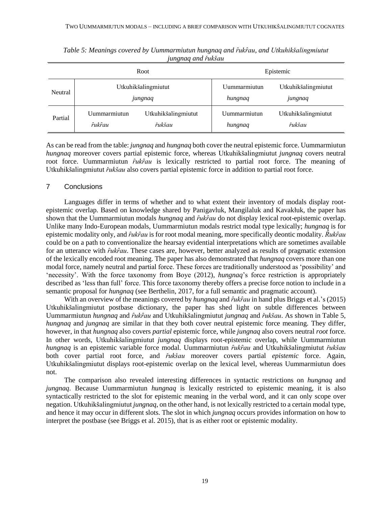| Root    |                        | Epistemic                      |                         |                                |
|---------|------------------------|--------------------------------|-------------------------|--------------------------------|
| Neutral |                        | Utkuhikšalingmiutut<br>jungnaq | Uummarmiutun<br>hungnaq | Utkuhikšalingmiutut<br>jungnaq |
| Partial | Uummarmiutun<br>rukrau | Utkuhikšalingmiutut<br>řukšau  | Uummarmiutun<br>hungnaq | Utkuhikšalingmiutut<br>řukšau  |

*Table 5: Meanings covered by Uummarmiutun hungnaq and ȓukȓau, and Utkuhikšalingmiutut jungnaq and řukšau*

As can be read from the table: *jungnaq* and *hungnaq* both cover the neutral epistemic force. Uummarmiutun *hungnaq* moreover covers partial epistemic force, whereas Utkuhikšalingmiutut *jungnaq* covers neutral root force. Uummarmiutun *fukfau* is lexically restricted to partial root force. The meaning of Utkuhikšalingmiutut *řukšau* also covers partial epistemic force in addition to partial root force.

# 7 Conclusions

Languages differ in terms of whether and to what extent their inventory of modals display rootepistemic overlap. Based on knowledge shared by Panigavluk, Mangilaluk and Kavakłuk, the paper has shown that the Uummarmiutun modals *hungnaq* and  $\hat{r}$ *ukrau* do not display lexical root-epistemic overlap. Unlike many Indo-European modals, Uummarmiutun modals restrict modal type lexically; *hungnaq* is for epistemic modality only, and *fukfau* is for root modal meaning, more specifically deontic modality.  $\hat{R}ukfau$ could be on a path to conventionalize the hearsay evidential interpretations which are sometimes available for an utterance with *fukfau*. These cases are, however, better analyzed as results of pragmatic extension of the lexically encoded root meaning. The paper has also demonstrated that *hungnaq* covers more than one modal force, namely neutral and partial force. These forces are traditionally understood as 'possibility' and 'necessity'. With the force taxonomy from Boye (2012), *hungnaq*'s force restriction is appropriately described as 'less than full' force. This force taxonomy thereby offers a precise force notion to include in a semantic proposal for *hungnaq* (see Berthelin, 2017, for a full semantic and pragmatic account).

With an overview of the meanings covered by *hungnaq* and *fukfau* in hand plus Briggs et al.'s (2015) Utkuhikšalingmiutut postbase dictionary, the paper has shed light on subtle differences between Uummarmiutun *hungnaq* and *ȓukȓau* and Utkuhikšalingmiutut *jungnaq* and *řukšau*. As shown in Table 5, *hungnaq* and *jungnaq* are similar in that they both cover neutral epistemic force meaning. They differ, however, in that *hungnaq* also covers *partial* epistemic force, while *jungnaq* also covers neutral *root* force. In other words, Utkuhikšalingmiutut *jungnaq* displays root-epistemic overlap, while Uummarmiutun *hungnaq* is an epistemic variable force modal. Uummarmiutun *ȓukȓau* and Utkuhikšalingmiutut *řukšau* both cover partial root force, and *řukšau* moreover covers partial *epistemic* force. Again, Utkuhikšalingmiutut displays root-epistemic overlap on the lexical level, whereas Uummarmiutun does not.

The comparison also revealed interesting differences in syntactic restrictions on *hungnaq* and *jungnaq*. Because Uummarmiutun *hungnaq* is lexically restricted to epistemic meaning, it is also syntactically restricted to the slot for epistemic meaning in the verbal word, and it can only scope over negation. Utkuhikšalingmiutut *jungnaq*, on the other hand, is not lexically restricted to a certain modal type, and hence it may occur in different slots. The slot in which *jungnaq* occurs provides information on how to interpret the postbase (see Briggs et al. 2015), that is as either root or epistemic modality.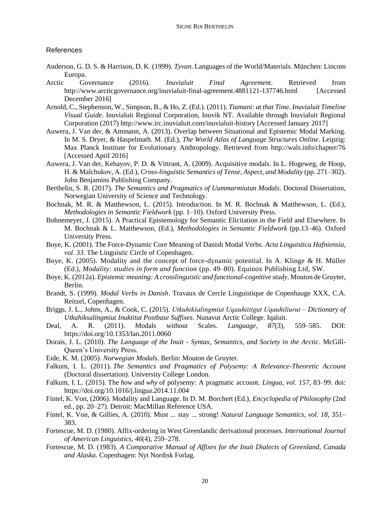# References

- Anderson, G. D. S. & Harrison, D. K. (1999). *Tyvan*. Languages of the World/Materials. München: Lincom Europa.
- Arctic Governance (2016). *Inuvialuit Final Agreement*. Retrieved from http://www.arcticgovernance.org/inuvialuit-final-agreement.4881121-137746.html [Accessed December 2016]
- Arnold, C., Stephenson, W., Simpson, B., & Ho, Z. (Ed.). (2011). *Tiamani: at that Time. Inuvialuit Timeline Visual Guide*. Inuvialuit Regional Corporation, Inuvik NT. Available through Inuvialuit Regional Corporation (2017) http://www.irc.inuvialuit.com/inuvialuit-history [Accessed January 2017]
- Auwera, J. Van der, & Ammann, A. (2013). Overlap between Situational and Epistemic Modal Marking. In M. S. Dryer, & Haspelmath. M. (Ed.), *The World Atlas of Language Structures Online*. Leipzig: Max Planck Institute for Evolutionary Anthropology. Retrieved from http://wals.info/chapter/76 [Accessed April 2016]
- Auwera, J. Van der, Kehayov, P. D. & Vittrant, A. (2009). Acquisitive modals. In L. Hogeweg, de Hoop, H. & Malchukov, A. (Ed.), *Cross-linguistic Semantics of Tense, Aspect, and Modality* (pp. 271–302). John Benjamins Publishing Company.
- Berthelin, S. R. (2017). *The Semantics and Pragmatics of Uummarmiutun Modals*. Doctoral Dissertation, Norwegian University of Science and Technology.
- Bochnak, M. R. & Matthewson, L. (2015). Introduction. In M. R. Bochnak & Matthewson, L. (Ed.), *Methodologies in Semantic Fieldwork* (pp. 1–10). Oxford University Press.
- Bohnemeyer, J. (2015). A Practical Epistemology for Semantic Elicitation in the Field and Elsewhere. In M. Bochnak & L. Matthewson, (Ed.), *Methodologies in Semantic Fieldwork* (pp.13–46). Oxford University Press.
- Boye, K. (2001). The Force-Dynamic Core Meaning of Danish Modal Verbs. *Acta Linguistica Hafniensia, vol. 33*. The Linguistic Circle of Copenhagen.
- Boye, K. (2005). Modality and the concept of force-dynamic potential. In A. Klinge & H. Müller (Ed.), *Modality: studies in form and function* (pp. 49–80)*.* Equinox Publishing Ltd, SW.
- Boye, K. (2012a). *Epistemic meaning: A crosslinguistic and functional-cognitive study*. Mouton de Gruyter, Berlin.
- Brandt, S. (1999). *Modal Verbs in Danish*. Travaux de Cercle Linguistique de Copenhauge XXX, C.A. Reitzel, Copenhagen.
- Briggs, J. L., Johns, A., & Cook, C. (2015). *Utkuhikšalingmiut Uqauhiitigut Uqauhiliurut – Dictionary of Utkuhiksalingmiut Inuktitut Postbase Suffixes*. Nunavut Arctic College. Iqaluit.
- Deal, A. R. (2011). Modals without Scales. *Language, 87*(3), 559–585. DOI: https://doi.org/10.1353/lan.2011.0060
- Dorais, J. L. (2010). *The Language of the Inuit - Syntax, Semantics, and Society in the Arctic*. McGill-Queen's University Press.
- Eide, K. M. (2005). *Norwegian Modals*. Berlin: Mouton de Gruyter.
- Falkum, I. L. (2011). *The Semantics and Pragmatics of Polysemy: A Relevance-Theoretic Account* (Doctoral dissertation). University College London.
- Falkum, I. L. (2015). The *how* and *why* of polysemy: A pragmatic account. *Lingua, vol*. *157*, 83–99. doi: https://doi.org/10.1016/j.lingua.2014.11.004
- Fintel, K. Von, (2006). Modality and Language. In D. M. Borchert (Ed.), *Encyclopedia of Philosophy* (2nd ed., pp. 20–27). Detroit: MacMillan Reference USA.
- Fintel, K. Von, & Gillies, A. (2010). Must ... stay ... strong! *Natural Language Semantics, vol. 18*, 351– 383.
- Fortescue, M. D. (1980). Affix-ordering in West Greenlandic derivational processes. *International Journal of American Linguistics*, *46*(4), 259–278.
- Fortescue, M. D. (1983). *A Comparative Manual of Affixes for the Inuit Dialects of Greenland, Canada and Alaska*. Copenhagen: Nyt Nordisk Forlag.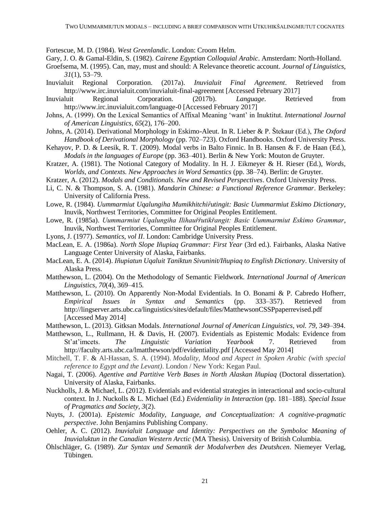Fortescue, M. D. (1984). *West Greenlandic*. London: Croom Helm.

- Gary, J. O. & Gamal-Eldin, S. (1982). *Cairene Egyptian Colloquial Arabic*. Amsterdam: North-Holland.
- Groefsema, M. (1995). Can, may, must and should: A Relevance theoretic account. *Journal of Linguistics, 31*(1), 53–79.
- Inuvialuit Regional Corporation. (2017a). *Inuvialuit Final Agreement*. Retrieved from http://www.irc.inuvialuit.com/inuvialuit-final-agreement [Accessed February 2017]
- Inuvialuit Regional Corporation. (2017b). *Language*. Retrieved from http://www.irc.inuvialuit.com/language-0 [Accessed February 2017]
- Johns, A. (1999). On the Lexical Semantics of Affixal Meaning 'want' in Inuktitut. *International Journal of American Linguistics*, *65*(2), 176–200.
- Johns, A. (2014). Derivational Morphology in Eskimo-Aleut. In R. Lieber & P. Štekaur (Ed.), *The Oxford Handbook of Derivational Morphology* (pp. 702–723). Oxford Handbooks. Oxford University Press.
- Kehayov, P. D. & Leesik, R. T. (2009). Modal verbs in Balto Finnic. In B. Hansen & F. de Haan (Ed.), *Modals in the languages of Europe* (pp. 363–401). Berlin & New York: Mouton de Gruyter.
- Kratzer, A. (1981). The Notional Category of Modality. In H. J. Eikmeyer & H. Rieser (Ed.), *Words, Worlds, and Contexts. New Approaches in Word Semantics* (pp. 38–74). Berlin: de Gruyter.
- Kratzer, A. (2012). *Modals and Conditionals. New and Revised Perspectives*. Oxford University Press.
- Li, C. N. & Thompson, S. A. (1981). *Mandarin Chinese: a Functional Reference Grammar*. Berkeley: University of California Press.
- Lowe, R. (1984). *Uummarmiut Uqalungiha Mumikhitchifutingit: Basic Uummarmiut Eskimo Dictionary*, Inuvik, Northwest Territories, Committee for Original Peoples Entitlement.
- Lowe, R. (1985a). *Uummarmiut Uqalungiha Ilihauřřutikřangit: Basic Uummarmiut Eskimo Grammar*, Inuvik, Northwest Territories, Committee for Original Peoples Entitlement.
- Lyons, J. (1977). *Semantics, vol II*. London: Cambridge University Press.
- MacLean, E. A. (1986a). *North Slope Iñupiaq Grammar: First Year* (3rd ed.). Fairbanks, Alaska Native Language Center University of Alaska, Fairbanks.
- MacLean, E. A. (2014). *Iñupiatun Uqaluit Taniktun Sivuninit/Iñupiaq to English Dictionary*. University of Alaska Press.
- Matthewson, L. (2004). On the Methodology of Semantic Fieldwork. *International Journal of American Linguistics*, *70*(4), 369–415.
- Matthewson, L. (2010). On Apparently Non-Modal Evidentials. In O. Bonami & P. Cabredo Hofherr, *Empirical Issues in Syntax and Semantics* (pp. 333–357). Retrieved from http://lingserver.arts.ubc.ca/linguistics/sites/default/files/MatthewsonCSSPpaperrevised.pdf [Accessed May 2014]
- Matthewson, L. (2013). Gitksan Modals. *International Journal of American Linguistics, vol. 79*, 349–394.
- Matthewson, L., Rullmann, H. & Davis, H. (2007). Evidentials as Epistemic Modals: Evidence from St'at'imcets. *The Linguistic Variation Yearbook* 7. Retrieved from http://faculty.arts.ubc.ca/lmatthewson/pdf/evidentiality.pdf [Accessed May 2014]
- Mitchell, T. F. & Al-Hassan, S. A. (1994). *Modality, Mood and Aspect in Spoken Arabic (with special reference to Egypt and the Levant)*. London / New York: Kegan Paul.
- Nagai, T. (2006). *Agentive and Partitive Verb Bases in North Alaskan Iñupiaq* (Doctoral dissertation). University of Alaska, Fairbanks.
- Nuckholls, J. & Michael, L. (2012). Evidentials and evidential strategies in interactional and socio-cultural context. In J. Nuckolls & L. Michael (Ed.) *Evidentiality in Interaction* (pp. 181–188). *Special Issue of Pragmatics and Society, 3*(2).
- Nuyts, J. (2001a). *Epistemic Modality, Language, and Conceptualization: A cognitive-pragmatic perspective*. John Benjamins Publishing Company.
- Oehler, A. C. (2012). *Inuvialuit Language and Identity: Perspectives on the Symboloc Meaning of Inuvialuktun in the Canadian Western Arctic* (MA Thesis). University of British Columbia.
- Öhlschläger, G. (1989). *Zur Syntax und Semantik der Modalverben des Deutshcen*. Niemeyer Verlag, Tübingen.